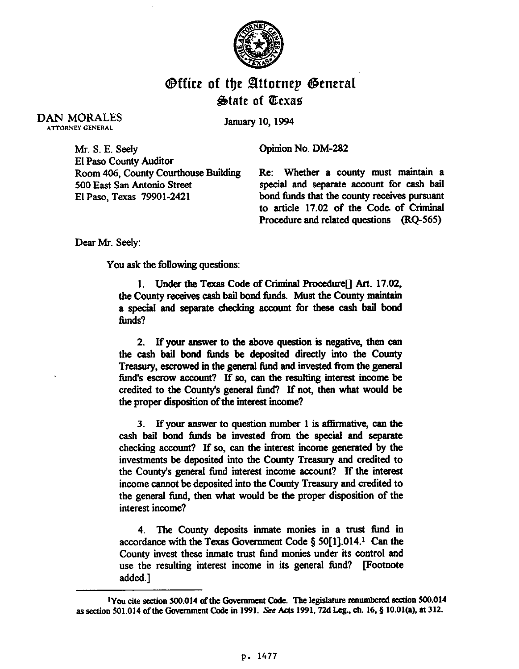

## **Office of the Attorney General** State of Texas

**DAN MORALES ATTORNEY GENERAL** 

January 10, 1994

Mr. S. E. Seelv El Paso County Auditor Room 406, County Courthouse Building 500 East San Antonio Street El Paso, Texas 79901-2421

Opinion No. DM-282

Re: Whether a county must maintain a special and separate account for cash bail bond funds that the county receives pursuant to article 17.02 of the Code of Criminal Procedure and related questions (RQ-565)

Dear Mr. Seely:

You ask the following questions:

1. Under the Texas Code of Criminal Procedure<sup>[]</sup> Art. 17.02, the County receives cash bail bond funds. Must the County maintain a special and separate checking account for these cash bail bond funds?

2. If your answer to the above question is negative, then can the cash bail bond funds be deposited directly into the County Treasury, escrowed in the general fund and invested from the general fund's escrow account? If so, can the resulting interest income be credited to the County's general fund? If not, then what would be the proper disposition of the interest income?

3. If your answer to question number 1 is affirmative, can the cash bail bond funds be invested from the special and separate checking account? If so, can the interest income generated by the investments be deposited into the County Treasury and credited to the County's general fund interest income account? If the interest income cannot be deposited into the County Treasury and credited to the general fund, then what would be the proper disposition of the interest income?

4. The County deposits inmate monies in a trust fund in accordance with the Texas Government Code § 50[1], 014.<sup>1</sup> Can the County invest these inmate trust fund monies under its control and use the resulting interest income in its general fund? [Footnote added.]

<sup>&</sup>lt;sup>1</sup>You cite section 500.014 of the Government Code. The legislature renumbered section 500.014 as section 501.014 of the Government Code in 1991. See Acts 1991, 72d Leg., ch. 16, § 10.01(a), at 312.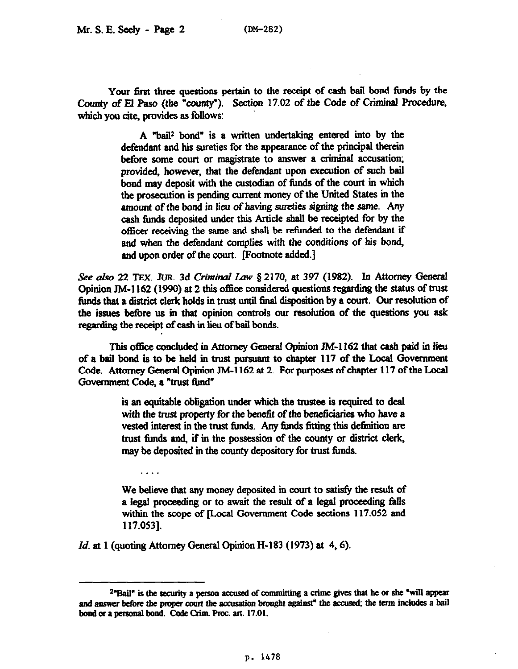Your first three questions pertain to the receipt of cash bail bond funds by the County of El Paso (the "county"). Section 17.02 of the Code of Criminal Procedure, which you cite, provides as follows:

> A "bail2 bond" is a written undertaking entered into by the defendant and his sureties for the appearance of the principal therein before some court or magistrate to answer a criminal accusation: provided, however, that the defendant upon execution of such bail bond may deposit with the custodian of timds of the court in which the prosecution is pending current money of the United States in the amount of the bond in lieu of having **sureties** signing the same. Any cash funds deposited under this Article shall be receipted for by the officer receiving the same and shall be retimded to the defendant if and when the defendant complies with the conditions of his bond, and upon order of the court. Footnote added.]

See also 22 TEX. JUR. 3d Criminal Law § 2170, at 397 (1982). In Attorney General Opinion JM-1162 (1990) at 2 this office considered questions regarding the status of trust funds that a district clerk holds in trust until final disposition by a court. Our resolution of the issues before us in that opinion controls our resolution of the questions you ask regarding the receipt of cash in lieu of bail bonds.

This office concluded in Attorney General Opinion JM-1162 that cash paid in lieu of a bail bond is to be held in trust pursuant to chapter 117 of the Local Government Code. Attorney General Opinion JM-1162 at 2. For purposes of chapter 117 of the Local Government Code, a "trust fund"

> is an equitable obligation under which the trustee is required to deal with the trust property for the benefit of the beneficiaries who have a vested interest in the trust funds. Any funds fitting this definition are trust funds and, if in the possession of the county or district clerk, may be deposited in the county depository for trust funds.

> We believe that any money deposited in court to satisfy the result of a legal proceeding or to await the result of a legal proceeding fhlls within the scope of [Local Government Code sections 117.052 and 117.053].

*Id. at* 1 (quoting Attorney General Opinion H-183 (1973) at 4,6).

. . . .

 $2^{\omega}$ Bail<sup> $\omega$ </sup> is the security a person accused of committing a crime gives that he or she "will appear and answer before the proper court the accusation brought against" the accused; the term includes a bail bond or a personal bond. Code Crim. Proc. art. 17.01.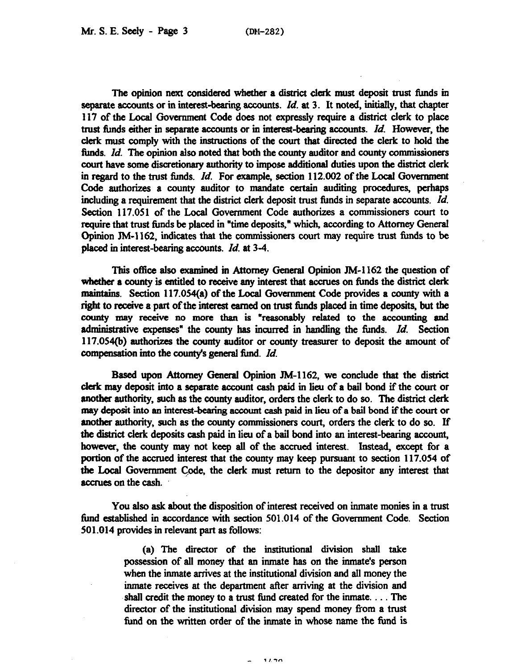The opinion next considered whether a district clerk must deposit trust timds in separate accounts or in interest-bearing accounts. *Id.* at 3. It noted, initially, that chapter 117 of the Local Government Code does not expressly require a district clerk to place trust funds either in separate accounts or in interest-bearing accounts. *Id.* However, the clerk must comply with the instructions of the court that directed the clerk to hold the funds. *Id.* The opinion also noted that both the county auditor and county commissioners court have some discretionary authority to impose additional duties upon the district clerk in regard to the trust timds. *Id.* For example, section 112.002 of the Local Government Code authorizes a county auditor to mandate certain auditing procedures, perhaps including a requirement that the district clerk deposit trust funds in separate accounts. *Id.*  Section 117.051 of the Local Government Code authorizes a commissioners court to require that trust funds be placed in "time deposits," which, according to Attorney General Opinion JM-1162, indicates that the commissioners court may require trust funds to be placed in interest-bearing accounts. *Id.* at 3-4.

This office also examined in Attorney General Opinion  $JM-1162$  the question of whether a county is entitled to receive any interest that accrues on funds the district clerk maintains. Section 117.054(a) of the Local Government Code provides a county with a right to receive a part of the interest earned on trust funds placed in time deposits, but the county may receive no more than is "reasonably related to the accounting and administrative expenses" the county has incurred in handling the funds. *Id.* Section 117.054(b) authorirzes the county auditor or county treasurer to deposit the amount of compensation into the county's general fund. *Id.* 

Based upon Attorney General Opinion JM-1162, we conclude that the district clerk may deposit into a separate account cash paid in lieu of a bail bond if the court or mother authority, such as the county auditor, orders the clerk to do so. The district clerk may deposit into an interest-bearing account cash paid in lieu of a bail bond if the court or another authority, such as the county commissioners court, orders the clerk to do so. If the district clerk deposits cash paid in lieu of a bail bond into an interest-bearing account, however, the county may not keep all of the accrued interest. Instead, except for a portion of the accrued interest that the county may keep pursuant to section 117.054 of the Local Government Code, the clerk must return to the depositor any interest that accrues on the cash.

You also ask about the disposition of interest received on inmate monies in a trust fimd established in accordance with section 501.014 of the Government Code. Section 501.014 provides in relevant part as follows:

> (a) The director of the institutional division shall take possession of all money that an inmate has on the inmate's person when the inmate arrives at the institutional division and all money the inmate receives at the department after arriving at the division and shall credit the money to a trust fimd created for the inmate. . . The director of the institutional division may spend money from a trust fund on the written order of the inmate in whose name the fund is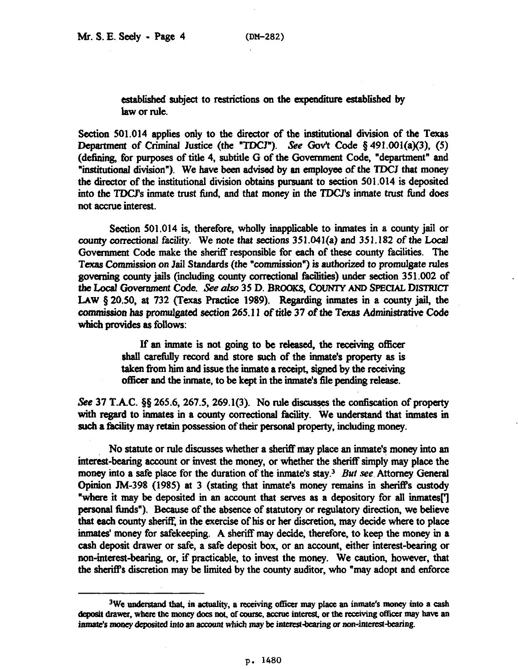established subject to restrictions on the expenditure established by law or rule.

Section 501.014 applies only to the director of the institutional division of the Texas Department of Criminal Justice (the "TDCJ"). See Gov't Code § 491.001(a)(3), (5) (defming, for purposes of title 4, subtitle G of the Government Code, "department" and "institutionai division"). We have been advised by an employee of the TDCJ that money the director of the institutional division obtains pursuant to section 501.014 is deposited into the TDCJ's inmate trust fund, and that money in the TDCJ's inmate trust fbnd does not accrue interest.

Section 501.014 is, therefore, wholly inapplicable to inmates in a county jail or county correctional facility. We note that sections  $351.041(a)$  and  $351.182$  of the Local Government Code make the sheriff responsible for each of these county facilities. The Texas Commission on Jail Standards (the "commission") is authorized to promulgate rules governing county jails (including county correctional facilities) under section 351.002 of the Local Government Code. See also 35 D. BROOKS, COUNTY AND SPECIAL DISTRICT LAW 8 20.50, at 732 (Texas Practice 1989). Regarding inmates in a county jail, the commission has promulgated section 265.11 of title 37 of the Texas Administrative Code which provides as follows:

> If an inmate is not going to be released, the receiving officer shall carefully record and store such of the inmate's property as is taken from him and issue the inmate a receipt, signed by the receiving officer and the inmate, to be kept in the inmate's file pending release.

See 37 T.A.C.  $\S$ § 265.6, 267.5, 269.1(3). No rule discusses the confiscation of property with regard to inmates in a county correctional facility. We understand that inmates in such a facility may retain possession of their personal property, including money.

No statute or rule discusses whether a sherilf may place an inmate's money into an interest-bearing account or invest the money, or whether the sheriff simply may place the money into a safe place for the duration of the inmate's stay.<sup>3</sup> But see. Attorney General Opinion JM-398 (1985) at 3 (stating that inmate's money remains in sheriff's custody "where it may be deposited in an account that serves as a depository for all inmates<sup>[1]</sup> personal funds"). Because of the absence of statutory or regulatory direction, we believe that each county sheriff, in the exercise of his or her discretion, may decide where to place inmates' money for safekeeping. A sheriff may decide, therefore, to keep the money in a cash deposit drawer or safe, a safe deposit box, or an account, either interest-bearing or non-interest-bearing, or, if practicable, to invest the money. We caution, however, that the sheriff's discretion may be limited by the county auditor, who "may adopt and enforce

<sup>&</sup>lt;sup>3</sup>We understand that, in actuality, a receiving officer may place an inmate's money into a cash deposit drawer, where the money does not, of course, accrue interest, or the receiving officer may have an inmate's money deposited into an account which may be interest-bearing or non-interest-bearing.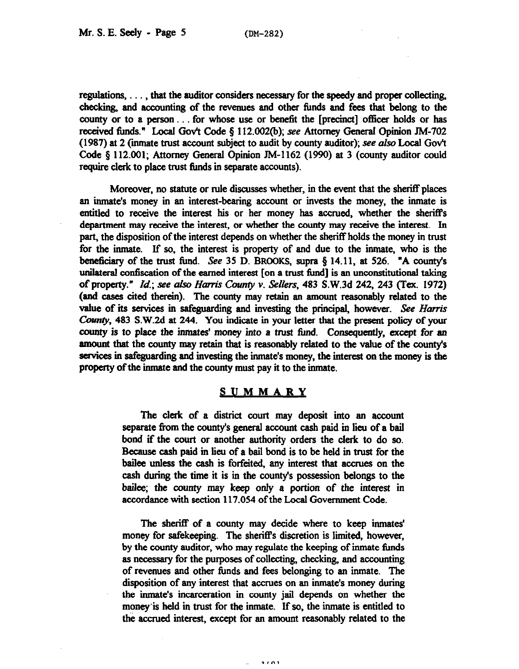regulations,  $\dots$ , that the auditor considers necessary for the speedy and proper collecting, checking, and accounting of the revenues and other funds and fees that belong to the county or to a person... for whose use or benefit the [precinct] officer holds or has received funds." Local Gov't Code § 112.002(b); see Attorney General Opinion JM-702 (1987) at 2 (inmate trust account subject to audit by county auditor); see also Local Gov't Code 3 112.001; Attorney General Opinion JM-1162 (1990) at 3 (county auditor could require clerk to place trust funds in separate accounts).

Moreover, no statute or rule discusses whether, in the event that the sheriff places an inmate's money in an interest-bearing account or invests the money, the inmate is entitled to receive the interest his or her money has accrued, whether the sheriffs department may receive the interest, or whether the county may receive the interest. In part, the disposition of the interest depends on whether the sheriff holds the money in trust for the imnate. If so, the interest is property of and due to the inmate, who is the beneficiary of the trust fund. See 35 D. BROOKS, supra  $\S$  14.11, at 526. "A county's unilateral confiscation of the earned interest [on a trust fund] is an unconstitutional taking of property." *Id.; see also Harris County v. Sellers*, 483 S.W.3d 242, 243 (Tex. 1972) (and cases cited therein). The county may retain an amount reasonably related to the value of its services in safeguarding and investing the principal, however. See Harris County, 483 S.W.2d at 244. You indicate in your letter that the present policy of your county is to place the inmates' money into a trust fund. Consequently, except for an amount that the county may retain that is reasonably related to the value of the county's services in safeguarding and investing the inmate's money, the interest on the money is the property of the inmate and the county must pay it to the inmate.

## **SUMMARY**

The clerk of a district court may deposit into an account separate from the county's general account cash paid in lieu of a bail bond if the court or another authority orders the clerk to do so. Because cash paid in lieu of a bail bond is to be held in trust for the bailee unless the cash is forfeited, any interest that accrues on the cash during the time it is in the county's possession belongs to the bailee; the county may keep only a portion of the interest in accordance with section 117.054 of the Local Government Code.

The sheriff of a county may decide where to keep inmates' money for safekeeping. The sheriff's discretion is limited, however, by the county auditor, who may regulate the keeping of inmate funds as necessary for the purposes of collecting, checking, and accounting of revenues and other fimds and fees belonging to an inmate. The disposition of any interest that accrues on an inmate's money during the inmate's incarceration in county jail depends on whether the money is held in trust for the inmate. If so, the inmate is entitled to the accrued interest, except for an amount reasonably related to the

**1/01**